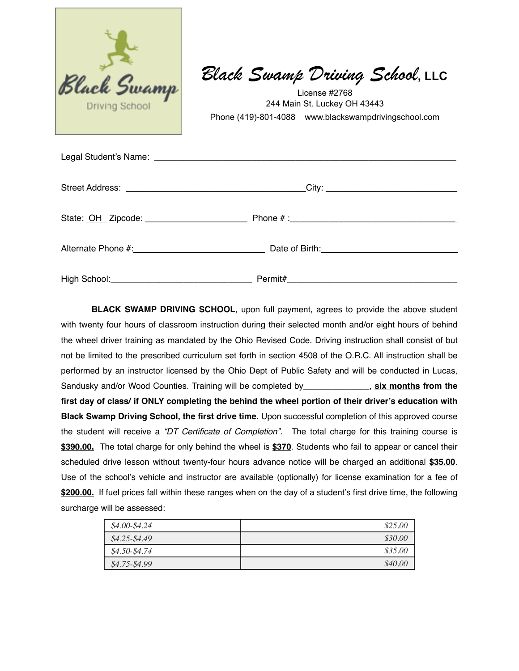

*Black Swamp Driving School***, LLC**

License #2768 244 Main St. Luckey OH 43443 Phone (419)-801-4088 www.blackswampdrivingschool.com

**BLACK SWAMP DRIVING SCHOOL**, upon full payment, agrees to provide the above student with twenty four hours of classroom instruction during their selected month and/or eight hours of behind the wheel driver training as mandated by the Ohio Revised Code. Driving instruction shall consist of but not be limited to the prescribed curriculum set forth in section 4508 of the O.R.C. All instruction shall be performed by an instructor licensed by the Ohio Dept of Public Safety and will be conducted in Lucas, Sandusky and/or Wood Counties. Training will be completed by\_\_\_\_\_\_\_\_\_\_\_\_\_\_, **six months from the first day of class/ if ONLY completing the behind the wheel portion of their driver's education with Black Swamp Driving School, the first drive time.** Upon successful completion of this approved course the student will receive a *"DT Certificate of Completion".* The total charge for this training course is **\$390.00.** The total charge for only behind the wheel is **\$370**. Students who fail to appear or cancel their scheduled drive lesson without twenty-four hours advance notice will be charged an additional **\$35.00**. Use of the school's vehicle and instructor are available (optionally) for license examination for a fee of **\$200.00.** If fuel prices fall within these ranges when on the day of a student's first drive time, the following surcharge will be assessed:

| $$4.00-S4.24$   | \$25.00 |
|-----------------|---------|
| $$4.25 - $4.49$ | \$30.00 |
| $$4.50-S4.74$   | \$35.00 |
| $$4.75-S4.99$   | \$40.00 |